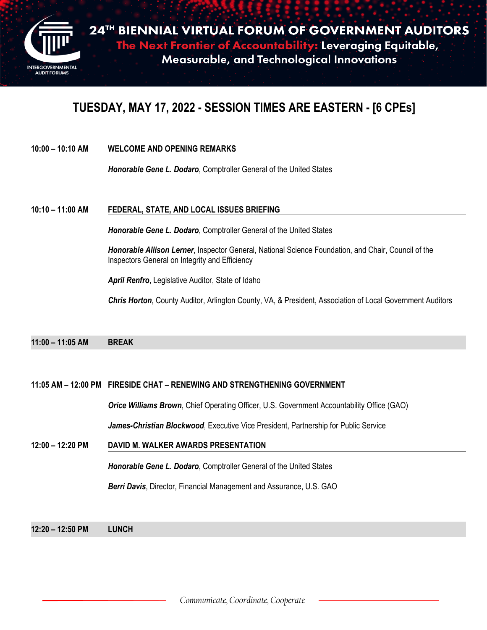

## **TUESDAY, MAY 17, 2022 - SESSION TIMES ARE EASTERN - [6 CPEs]**

### **10:00 – 10:10 AM WELCOME AND OPENING REMARKS**

*Honorable Gene L. Dodaro*, Comptroller General of the United States

### **10:10 – 11:00 AM FEDERAL, STATE, AND LOCAL ISSUES BRIEFING**

*Honorable Gene L. Dodaro*, Comptroller General of the United States

*Honorable Allison Lerner*, Inspector General, National Science Foundation, and Chair, Council of the Inspectors General on Integrity and Efficiency

*April Renfro*, Legislative Auditor, State of Idaho

*Chris Horton*, County Auditor, Arlington County, VA, & President, Association of Local Government Auditors

### **11:00 – 11:05 AM BREAK**

### **11:05 AM – 12:00 PM FIRESIDE CHAT – RENEWING AND STRENGTHENING GOVERNMENT**

*Orice Williams Brown*, Chief Operating Officer, U.S. Government Accountability Office (GAO)

*James-Christian Blockwood*, Executive Vice President, Partnership for Public Service

### **12:00 – 12:20 PM DAVID M. WALKER AWARDS PRESENTATION**

*Honorable Gene L. Dodaro*, Comptroller General of the United States

*Berri Davis*, Director, Financial Management and Assurance, U.S. GAO

**12:20 – 12:50 PM LUNCH**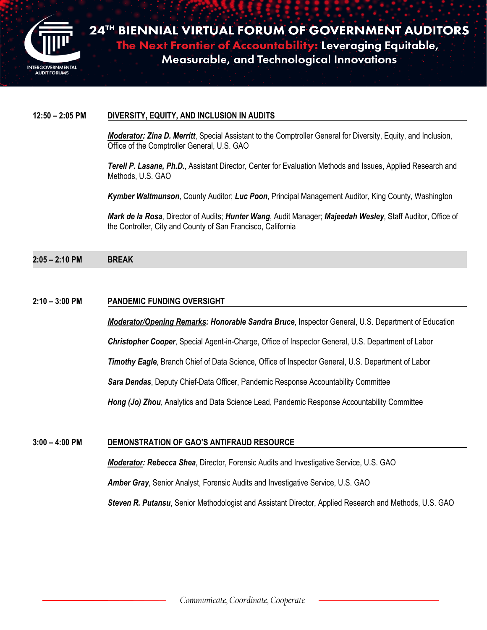

**2 4 T H BIENNIAL VIRTUAL FORUM OF GOVERNMENT AUDITORS AL FORUM OF 1** The Next Frontier of Accountability: Leveraging Equitable,<br>Measurable, and Technological Innovations

### **12:50 – 2:05 PM DIVERSITY, EQUITY, AND INCLUSION IN AUDITS**

*Moderator: Zina D. Merritt*, Special Assistant to the Comptroller General for Diversity, Equity, and Inclusion, Office of the Comptroller General, U.S. GAO

*Terell P. Lasane, Ph.D.*, Assistant Director, Center for Evaluation Methods and Issues, Applied Research and Methods, U.S. GAO

*Kymber Waltmunson*, County Auditor; *Luc Poon*, Principal Management Auditor, King County, Washington

*Mark de la Rosa*, Director of Audits; *Hunter Wang*, Audit Manager; *Majeedah Wesley*, Staff Auditor, Office of the Controller, City and County of San Francisco, California

**2:05 – 2:10 PM BREAK**

### **2:10 – 3:00 PM PANDEMIC FUNDING OVERSIGHT**

*Moderator/Opening Remarks: Honorable Sandra Bruce*, Inspector General, U.S. Department of Education

*Christopher Cooper*, Special Agent-in-Charge, Office of Inspector General, U.S. Department of Labor

*Timothy Eagle*, Branch Chief of Data Science, Office of Inspector General, U.S. Department of Labor

*Sara Dendas*, Deputy Chief-Data Officer, Pandemic Response Accountability Committee

*Hong (Jo) Zhou*, Analytics and Data Science Lead, Pandemic Response Accountability Committee

### **3:00 – 4:00 PM DEMONSTRATION OF GAO'S ANTIFRAUD RESOURCE**

*Moderator: Rebecca Shea*, Director, Forensic Audits and Investigative Service, U.S. GAO

*Amber Gray*, Senior Analyst, Forensic Audits and Investigative Service, U.S. GAO

*Steven R. Putansu*, Senior Methodologist and Assistant Director, Applied Research and Methods, U.S. GAO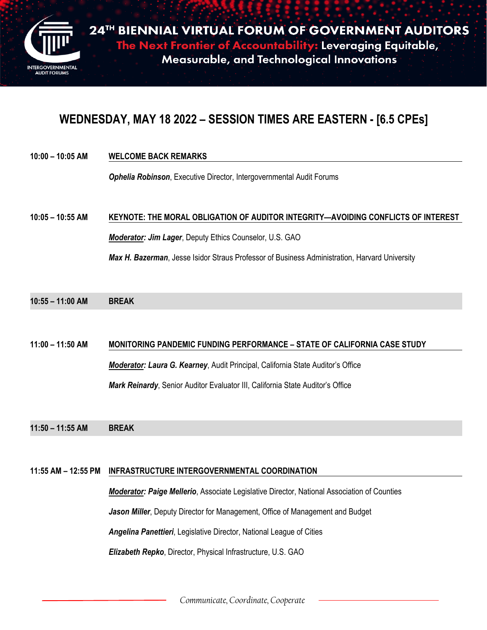

**2 4 T H BIENNIAL VIRTUAL FORUM OF GOVERNMENT AUDITORS AL FORUM OF 1 The Next Frontier of Accountability: Leveraging Equitable,** Measurable, and Technological Innovations

### **WEDNESDAY, MAY 18 2022 – SESSION TIMES ARE EASTERN - [6.5 CPEs]**

**10:00 – 10:05 AM WELCOME BACK REMARKS**

*Ophelia Robinson*, Executive Director, Intergovernmental Audit Forums

# **10:05 – 10:55 AM KEYNOTE: THE MORAL OBLIGATION OF AUDITOR INTEGRITY—AVOIDING CONFLICTS OF INTEREST** *Moderator: Jim Lager*, Deputy Ethics Counselor, U.S. GAO

*Max H. Bazerman*, Jesse Isidor Straus Professor of Business Administration, Harvard University

**10:55 – 11:00 AM BREAK**

**11:00 – 11:50 AM MONITORING PANDEMIC FUNDING PERFORMANCE – STATE OF CALIFORNIA CASE STUDY** *Moderator: Laura G. Kearney*, Audit Principal, California State Auditor's Office

*Mark Reinardy*, Senior Auditor Evaluator III, California State Auditor's Office

**11:50 – 11:55 AM BREAK**

### **11:55 AM – 12:55 PM INFRASTRUCTURE INTERGOVERNMENTAL COORDINATION**

*Moderator: Paige Mellerio*, Associate Legislative Director, National Association of Counties *Jason Miller*, Deputy Director for Management, Office of Management and Budget *Angelina Panettieri*, Legislative Director, National League of Cities *Elizabeth Repko*, Director, Physical Infrastructure, U.S. GAO